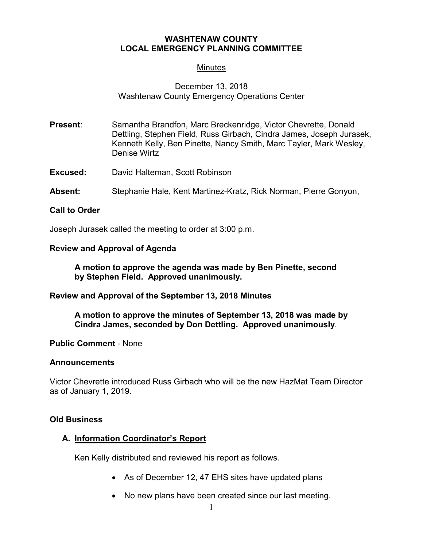## **WASHTENAW COUNTY LOCAL EMERGENCY PLANNING COMMITTEE**

# **Minutes**

# December 13, 2018 Washtenaw County Emergency Operations Center

- **Present:** Samantha Brandfon, Marc Breckenridge, Victor Chevrette, Donald Dettling, Stephen Field, Russ Girbach, Cindra James, Joseph Jurasek, Kenneth Kelly, Ben Pinette, Nancy Smith, Marc Tayler, Mark Wesley, Denise Wirtz
- **Excused:** David Halteman, Scott Robinson
- **Absent:** Stephanie Hale, Kent Martinez-Kratz, Rick Norman, Pierre Gonyon,

### **Call to Order**

Joseph Jurasek called the meeting to order at 3:00 p.m.

### **Review and Approval of Agenda**

**A motion to approve the agenda was made by Ben Pinette, second by Stephen Field. Approved unanimously.**

**Review and Approval of the September 13, 2018 Minutes**

**A motion to approve the minutes of September 13, 2018 was made by Cindra James, seconded by Don Dettling. Approved unanimously**.

**Public Comment** - None

### **Announcements**

Victor Chevrette introduced Russ Girbach who will be the new HazMat Team Director as of January 1, 2019.

### **Old Business**

### **A. Information Coordinator's Report**

Ken Kelly distributed and reviewed his report as follows.

- As of December 12, 47 EHS sites have updated plans
- No new plans have been created since our last meeting.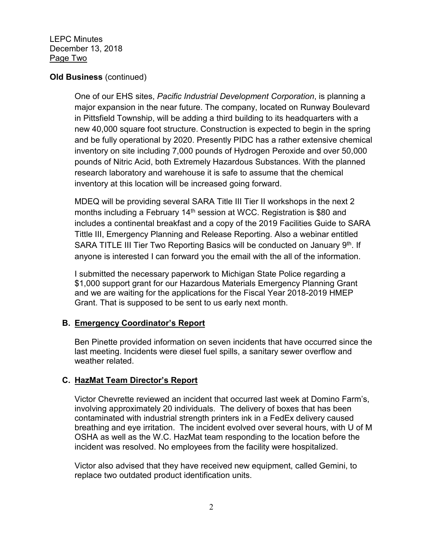LEPC Minutes December 13, 2018 Page Two

## **Old Business** (continued)

One of our EHS sites, *Pacific Industrial Development Corporation*, is planning a major expansion in the near future. The company, located on Runway Boulevard in Pittsfield Township, will be adding a third building to its headquarters with a new 40,000 square foot structure. Construction is expected to begin in the spring and be fully operational by 2020. Presently PIDC has a rather extensive chemical inventory on site including 7,000 pounds of Hydrogen Peroxide and over 50,000 pounds of Nitric Acid, both Extremely Hazardous Substances. With the planned research laboratory and warehouse it is safe to assume that the chemical inventory at this location will be increased going forward.

MDEQ will be providing several SARA Title III Tier II workshops in the next 2 months including a February 14<sup>th</sup> session at WCC. Registration is \$80 and includes a continental breakfast and a copy of the 2019 Facilities Guide to SARA Tittle III, Emergency Planning and Release Reporting. Also a webinar entitled SARA TITLE III Tier Two Reporting Basics will be conducted on January 9<sup>th</sup>. If anyone is interested I can forward you the email with the all of the information.

I submitted the necessary paperwork to Michigan State Police regarding a \$1,000 support grant for our Hazardous Materials Emergency Planning Grant and we are waiting for the applications for the Fiscal Year 2018-2019 HMEP Grant. That is supposed to be sent to us early next month.

# **B. Emergency Coordinator's Report**

Ben Pinette provided information on seven incidents that have occurred since the last meeting. Incidents were diesel fuel spills, a sanitary sewer overflow and weather related.

## **C. HazMat Team Director's Report**

Victor Chevrette reviewed an incident that occurred last week at Domino Farm's, involving approximately 20 individuals. The delivery of boxes that has been contaminated with industrial strength printers ink in a FedEx delivery caused breathing and eye irritation. The incident evolved over several hours, with U of M OSHA as well as the W.C. HazMat team responding to the location before the incident was resolved. No employees from the facility were hospitalized.

Victor also advised that they have received new equipment, called Gemini, to replace two outdated product identification units.